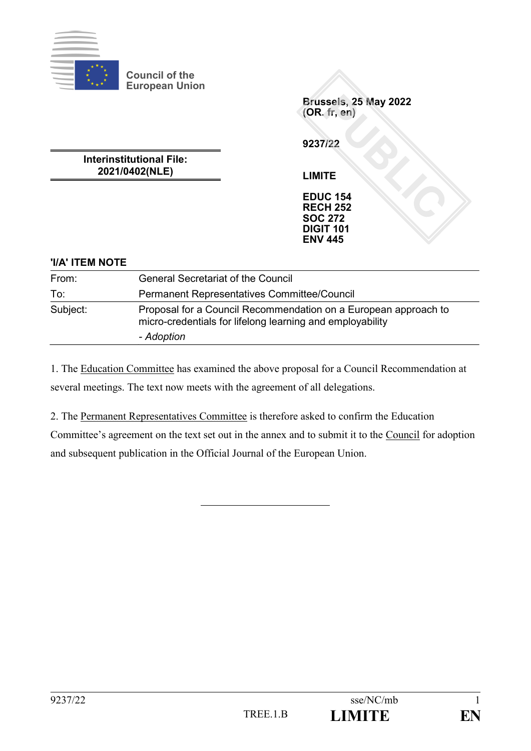

**Council of the European Union**

**Brussels, 25 May 2022 (OR. fr, en)**

**9237/22**

**Interinstitutional File: 2021/0402(NLE)**

**LIMITE**

**EDUC 154 RECH 252 SOC 272 DIGIT 101 ENV 445**

# **'I/A' ITEM NOTE**

| From:    | <b>General Secretariat of the Council</b>                                                                                                  |
|----------|--------------------------------------------------------------------------------------------------------------------------------------------|
| To:      | <b>Permanent Representatives Committee/Council</b>                                                                                         |
| Subject: | Proposal for a Council Recommendation on a European approach to<br>micro-credentials for lifelong learning and employability<br>- Adoption |
|          |                                                                                                                                            |

1. The Education Committee has examined the above proposal for a Council Recommendation at several meetings. The text now meets with the agreement of all delegations.

2. The Permanent Representatives Committee is therefore asked to confirm the Education Committee's agreement on the text set out in the annex and to submit it to the Council for adoption and subsequent publication in the Official Journal of the European Union.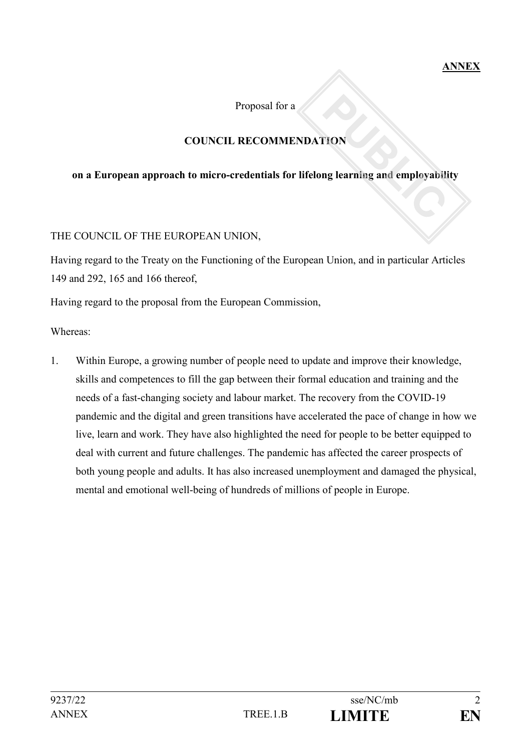Proposal for a

# **COUNCIL RECOMMENDATION**

#### **on a European approach to micro-credentials for lifelong learning and employability**

#### THE COUNCIL OF THE EUROPEAN UNION,

Having regard to the Treaty on the Functioning of the European Union, and in particular Articles 149 and 292, 165 and 166 thereof,

Having regard to the proposal from the European Commission,

Whereas:

1. Within Europe, a growing number of people need to update and improve their knowledge, skills and competences to fill the gap between their formal education and training and the needs of a fast-changing society and labour market. The recovery from the COVID-19 pandemic and the digital and green transitions have accelerated the pace of change in how we live, learn and work. They have also highlighted the need for people to be better equipped to deal with current and future challenges. The pandemic has affected the career prospects of both young people and adults. It has also increased unemployment and damaged the physical, mental and emotional well-being of hundreds of millions of people in Europe.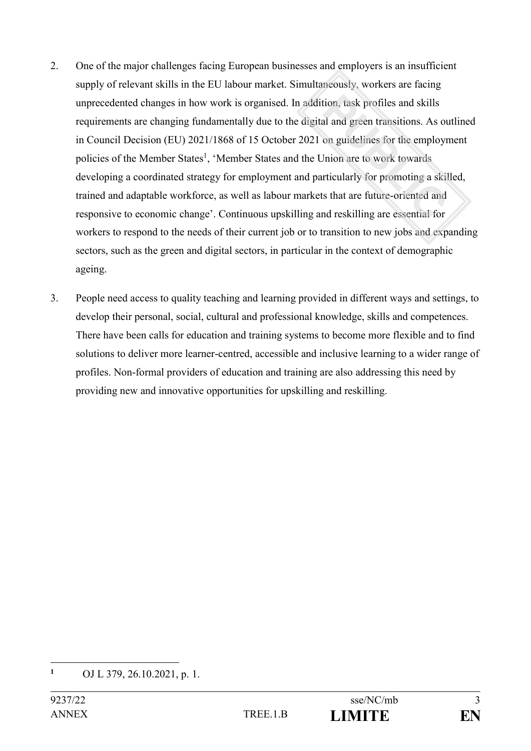- 2. One of the major challenges facing European businesses and employers is an insufficient supply of relevant skills in the EU labour market. Simultaneously, workers are facing unprecedented changes in how work is organised. In addition, task profiles and skills requirements are changing fundamentally due to the digital and green transitions. As outlined in Council Decision (EU) 2021/1868 of 15 October 2021 on guidelines for the employment policies of the Member States<sup>1</sup>, 'Member States and the Union are to work towards developing a coordinated strategy for employment and particularly for promoting a skilled, trained and adaptable workforce, as well as labour markets that are future-oriented and responsive to economic change'. Continuous upskilling and reskilling are essential for workers to respond to the needs of their current job or to transition to new jobs and expanding sectors, such as the green and digital sectors, in particular in the context of demographic ageing.
- 3. People need access to quality teaching and learning provided in different ways and settings, to develop their personal, social, cultural and professional knowledge, skills and competences. There have been calls for education and training systems to become more flexible and to find solutions to deliver more learner-centred, accessible and inclusive learning to a wider range of profiles. Non-formal providers of education and training are also addressing this need by providing new and innovative opportunities for upskilling and reskilling.

**<sup>1</sup>** OJ L 379, 26.10.2021, p. 1.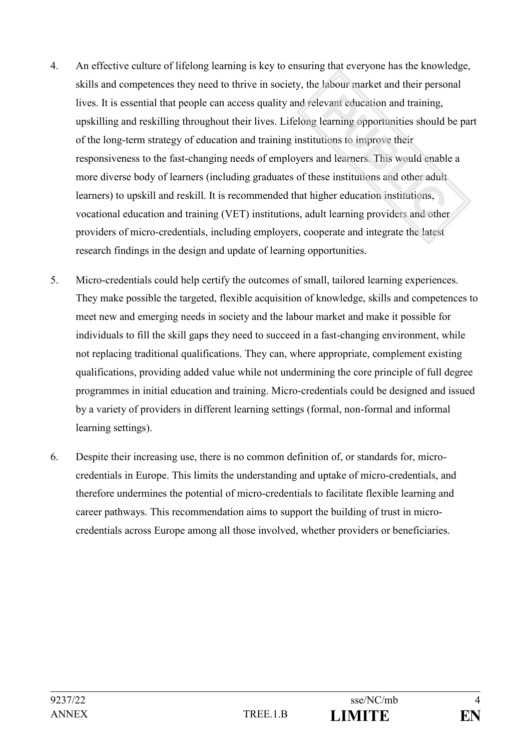- 4. An effective culture of lifelong learning is key to ensuring that everyone has the knowledge, skills and competences they need to thrive in society, the labour market and their personal lives. It is essential that people can access quality and relevant education and training, upskilling and reskilling throughout their lives. Lifelong learning opportunities should be part of the long-term strategy of education and training institutions to improve their responsiveness to the fast-changing needs of employers and learners. This would enable a more diverse body of learners (including graduates of these institutions and other adult learners) to upskill and reskill. It is recommended that higher education institutions, vocational education and training (VET) institutions, adult learning providers and other providers of micro-credentials, including employers, cooperate and integrate the latest research findings in the design and update of learning opportunities.
- 5. Micro-credentials could help certify the outcomes of small, tailored learning experiences. They make possible the targeted, flexible acquisition of knowledge, skills and competences to meet new and emerging needs in society and the labour market and make it possible for individuals to fill the skill gaps they need to succeed in a fast-changing environment, while not replacing traditional qualifications. They can, where appropriate, complement existing qualifications, providing added value while not undermining the core principle of full degree programmes in initial education and training. Micro-credentials could be designed and issued by a variety of providers in different learning settings (formal, non-formal and informal learning settings).
- 6. Despite their increasing use, there is no common definition of, or standards for, microcredentials in Europe. This limits the understanding and uptake of micro-credentials, and therefore undermines the potential of micro-credentials to facilitate flexible learning and career pathways. This recommendation aims to support the building of trust in microcredentials across Europe among all those involved, whether providers or beneficiaries.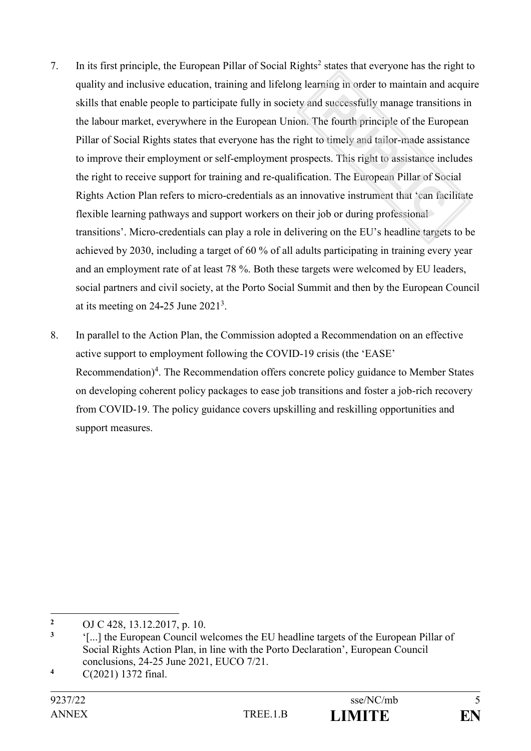- 7. In its first principle, the European Pillar of Social Rights<sup>2</sup> states that everyone has the right to quality and inclusive education, training and lifelong learning in order to maintain and acquire skills that enable people to participate fully in society and successfully manage transitions in the labour market, everywhere in the European Union. The fourth principle of the European Pillar of Social Rights states that everyone has the right to timely and tailor-made assistance to improve their employment or self-employment prospects. This right to assistance includes the right to receive support for training and re-qualification. The European Pillar of Social Rights Action Plan refers to micro-credentials as an innovative instrument that 'can facilitate flexible learning pathways and support workers on their job or during professional transitions'. Micro-credentials can play a role in delivering on the EU's headline targets to be achieved by 2030, including a target of 60 % of all adults participating in training every year and an employment rate of at least 78 %. Both these targets were welcomed by EU leaders, social partners and civil society, at the Porto Social Summit and then by the European Council at its meeting on 24**-**25 June 2021<sup>3</sup> .
- 8. In parallel to the Action Plan, the Commission adopted a Recommendation on an effective active support to employment following the COVID-19 crisis (the 'EASE' Recommendation)<sup>4</sup>. The Recommendation offers concrete policy guidance to Member States on developing coherent policy packages to ease job transitions and foster a job-rich recovery from COVID-19. The policy guidance covers upskilling and reskilling opportunities and support measures.

**<sup>2</sup>** OJ C 428, 13.12.2017, p. 10.

**<sup>3</sup>** '[...] the European Council welcomes the EU headline targets of the European Pillar of Social Rights Action Plan, in line with the Porto Declaration', European Council conclusions, 24-25 June 2021, EUCO 7/21.

**<sup>4</sup>** C(2021) 1372 final.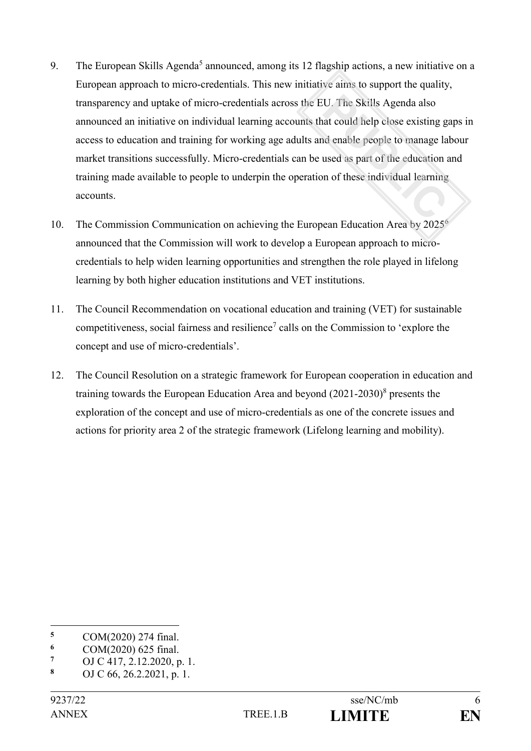- 9. The European Skills Agenda<sup>5</sup> announced, among its 12 flagship actions, a new initiative on a European approach to micro-credentials. This new initiative aims to support the quality, transparency and uptake of micro-credentials across the EU. The Skills Agenda also announced an initiative on individual learning accounts that could help close existing gaps in access to education and training for working age adults and enable people to manage labour market transitions successfully. Micro-credentials can be used as part of the education and training made available to people to underpin the operation of these individual learning accounts.
- 10. The Commission Communication on achieving the European Education Area by 2025<sup>6</sup> announced that the Commission will work to develop a European approach to microcredentials to help widen learning opportunities and strengthen the role played in lifelong learning by both higher education institutions and VET institutions.
- 11. The Council Recommendation on vocational education and training (VET) for sustainable competitiveness, social fairness and resilience<sup>7</sup> calls on the Commission to 'explore the concept and use of micro-credentials'.
- 12. The Council Resolution on a strategic framework for European cooperation in education and training towards the European Education Area and beyond (2021-2030)<sup>8</sup> presents the exploration of the concept and use of micro-credentials as one of the concrete issues and actions for priority area 2 of the strategic framework (Lifelong learning and mobility).

<sup>1</sup> **5** COM(2020) 274 final.

**<sup>6</sup>** COM(2020) 625 final.

**<sup>7</sup>** OJ C 417, 2.12.2020, p. 1.

**<sup>8</sup>** OJ C 66, 26.2.2021, p. 1.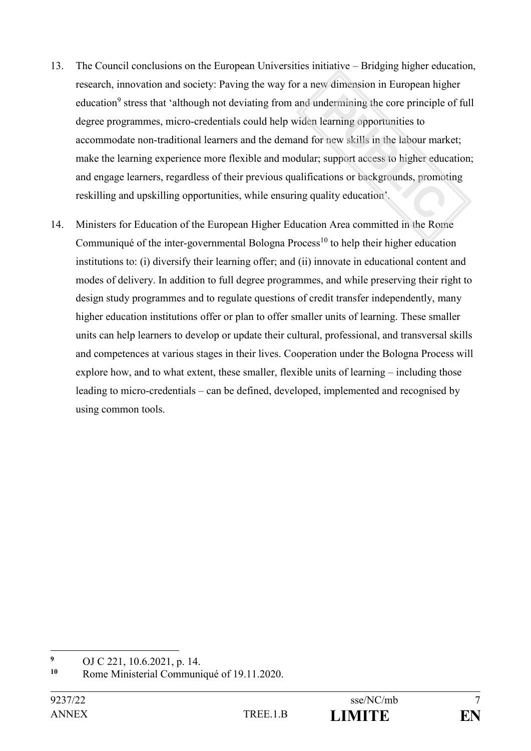- 13. The Council conclusions on the European Universities initiative Bridging higher education, research, innovation and society: Paving the way for a new dimension in European higher education<sup>9</sup> stress that 'although not deviating from and undermining the core principle of full degree programmes, micro-credentials could help widen learning opportunities to accommodate non-traditional learners and the demand for new skills in the labour market; make the learning experience more flexible and modular; support access to higher education; and engage learners, regardless of their previous qualifications or backgrounds, promoting reskilling and upskilling opportunities, while ensuring quality education'.
- 14. Ministers for Education of the European Higher Education Area committed in the Rome Communiqué of the inter-governmental Bologna Process<sup>10</sup> to help their higher education institutions to: (i) diversify their learning offer; and (ii) innovate in educational content and modes of delivery. In addition to full degree programmes, and while preserving their right to design study programmes and to regulate questions of credit transfer independently, many higher education institutions offer or plan to offer smaller units of learning. These smaller units can help learners to develop or update their cultural, professional, and transversal skills and competences at various stages in their lives. Cooperation under the Bologna Process will explore how, and to what extent, these smaller, flexible units of learning – including those leading to micro-credentials – can be defined, developed, implemented and recognised by using common tools.

 $\overline{9}$ <sup>9</sup> OJ C 221, 10.6.2021, p. 14.<br><sup>10</sup> Pome Ministerial Communi

**<sup>10</sup>** Rome Ministerial Communiqué of 19.11.2020.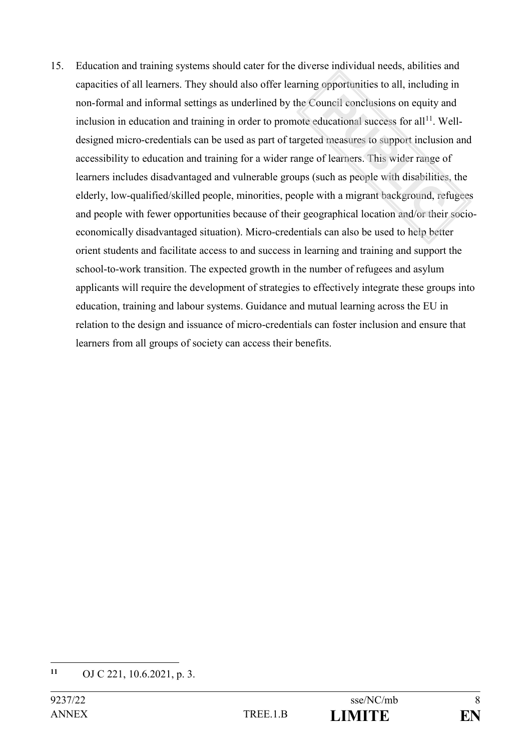15. Education and training systems should cater for the diverse individual needs, abilities and capacities of all learners. They should also offer learning opportunities to all, including in non-formal and informal settings as underlined by the Council conclusions on equity and inclusion in education and training in order to promote educational success for all<sup>11</sup>. Welldesigned micro-credentials can be used as part of targeted measures to support inclusion and accessibility to education and training for a wider range of learners. This wider range of learners includes disadvantaged and vulnerable groups (such as people with disabilities, the elderly, low-qualified/skilled people, minorities, people with a migrant background, refugees and people with fewer opportunities because of their geographical location and/or their socioeconomically disadvantaged situation). Micro-credentials can also be used to help better orient students and facilitate access to and success in learning and training and support the school-to-work transition. The expected growth in the number of refugees and asylum applicants will require the development of strategies to effectively integrate these groups into education, training and labour systems. Guidance and mutual learning across the EU in relation to the design and issuance of micro-credentials can foster inclusion and ensure that learners from all groups of society can access their benefits.

**<sup>11</sup>** OJ C 221, 10.6.2021, p. 3.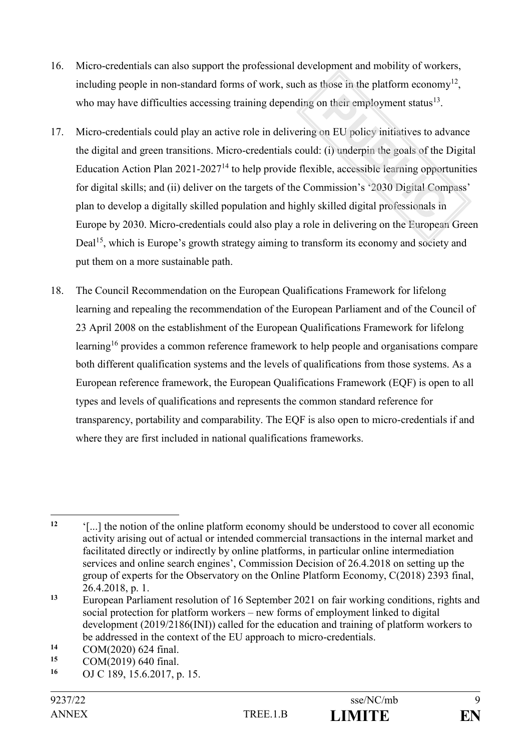- 16. Micro-credentials can also support the professional development and mobility of workers, including people in non-standard forms of work, such as those in the platform economy<sup>12</sup>, who may have difficulties accessing training depending on their employment status $^{13}$ .
- 17. Micro-credentials could play an active role in delivering on EU policy initiatives to advance the digital and green transitions. Micro-credentials could: (i) underpin the goals of the Digital Education Action Plan  $2021-2027<sup>14</sup>$  to help provide flexible, accessible learning opportunities for digital skills; and (ii) deliver on the targets of the Commission's '2030 Digital Compass' plan to develop a digitally skilled population and highly skilled digital professionals in Europe by 2030. Micro-credentials could also play a role in delivering on the European Green Deal<sup>15</sup>, which is Europe's growth strategy aiming to transform its economy and society and put them on a more sustainable path.
- 18. The Council Recommendation on the European Qualifications Framework for lifelong learning and repealing the recommendation of the European Parliament and of the Council of 23 April 2008 on the establishment of the European Qualifications Framework for lifelong learning<sup>16</sup> provides a common reference framework to help people and organisations compare both different qualification systems and the levels of qualifications from those systems. As a European reference framework, the European Qualifications Framework (EQF) is open to all types and levels of qualifications and represents the common standard reference for transparency, portability and comparability. The EQF is also open to micro-credentials if and where they are first included in national qualifications frameworks.

 $12$ **<sup>12</sup>** '[...] the notion of the online platform economy should be understood to cover all economic activity arising out of actual or intended commercial transactions in the internal market and facilitated directly or indirectly by online platforms, in particular online intermediation services and online search engines', Commission Decision of 26.4.2018 on setting up the group of experts for the Observatory on the Online Platform Economy, C(2018) 2393 final, 26.4.2018, p. 1.

**<sup>13</sup>** European Parliament resolution of 16 September 2021 on fair working conditions, rights and social protection for platform workers – new forms of employment linked to digital development (2019/2186(INI)) called for the education and training of platform workers to be addressed in the context of the EU approach to micro-credentials.

<sup>14</sup> COM(2020) 624 final.<br>15 COM(2010) 640 final.

<sup>15</sup> COM(2019) 640 final.<br>16 OLC 180, 15.6.2017

**<sup>16</sup>** OJ C 189, 15.6.2017, p. 15.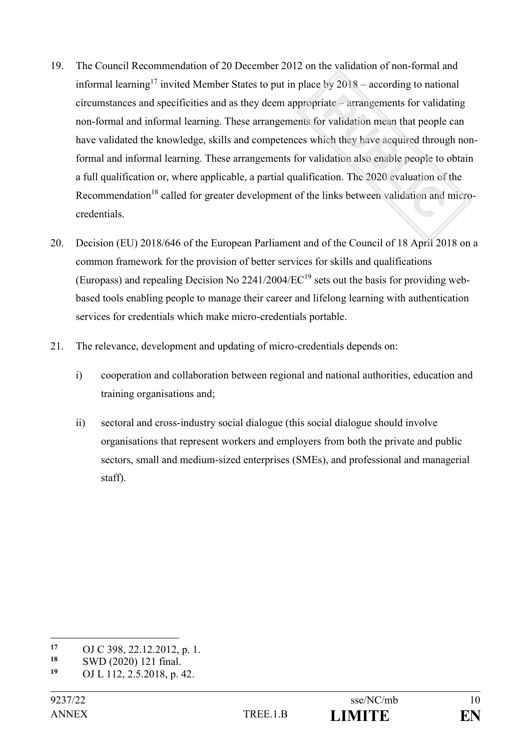- 19. The Council Recommendation of 20 December 2012 on the validation of non-formal and informal learning<sup>17</sup> invited Member States to put in place by  $2018$  – according to national circumstances and specificities and as they deem appropriate – arrangements for validating non-formal and informal learning. These arrangements for validation mean that people can have validated the knowledge, skills and competences which they have acquired through nonformal and informal learning. These arrangements for validation also enable people to obtain a full qualification or, where applicable, a partial qualification. The 2020 evaluation of the Recommendation<sup>18</sup> called for greater development of the links between validation and microcredentials.
- 20. Decision (EU) 2018/646 of the European Parliament and of the Council of 18 April 2018 on a common framework for the provision of better services for skills and qualifications (Europass) and repealing Decision No  $2241/2004/EC^{19}$  sets out the basis for providing webbased tools enabling people to manage their career and lifelong learning with authentication services for credentials which make micro-credentials portable.
- 21. The relevance, development and updating of micro-credentials depends on:
	- i) cooperation and collaboration between regional and national authorities, education and training organisations and;
	- ii) sectoral and cross-industry social dialogue (this social dialogue should involve organisations that represent workers and employers from both the private and public sectors, small and medium-sized enterprises (SMEs), and professional and managerial staff).

<u>.</u>



<sup>17</sup> OJ C 398, 22.12.2012, p. 1.<br>18 SWD (2020) 121 final

**<sup>18</sup>** SWD (2020) 121 final.

**<sup>19</sup>** OJ L 112, 2.5.2018, p. 42.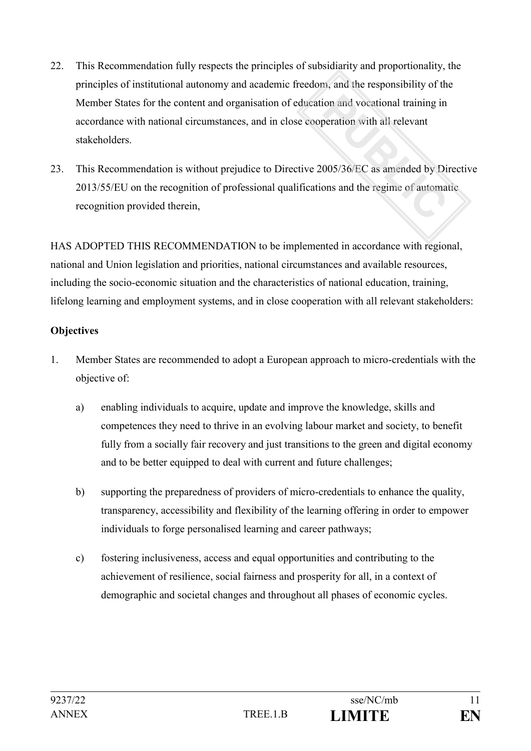- 22. This Recommendation fully respects the principles of subsidiarity and proportionality, the principles of institutional autonomy and academic freedom, and the responsibility of the Member States for the content and organisation of education and vocational training in accordance with national circumstances, and in close cooperation with all relevant stakeholders.
- 23. This Recommendation is without prejudice to Directive 2005/36/EC as amended by Directive 2013/55/EU on the recognition of professional qualifications and the regime of automatic recognition provided therein,

HAS ADOPTED THIS RECOMMENDATION to be implemented in accordance with regional, national and Union legislation and priorities, national circumstances and available resources, including the socio-economic situation and the characteristics of national education, training, lifelong learning and employment systems, and in close cooperation with all relevant stakeholders:

# **Objectives**

- 1. Member States are recommended to adopt a European approach to micro-credentials with the objective of:
	- a) enabling individuals to acquire, update and improve the knowledge, skills and competences they need to thrive in an evolving labour market and society, to benefit fully from a socially fair recovery and just transitions to the green and digital economy and to be better equipped to deal with current and future challenges;
	- b) supporting the preparedness of providers of micro-credentials to enhance the quality, transparency, accessibility and flexibility of the learning offering in order to empower individuals to forge personalised learning and career pathways;
	- c) fostering inclusiveness, access and equal opportunities and contributing to the achievement of resilience, social fairness and prosperity for all, in a context of demographic and societal changes and throughout all phases of economic cycles.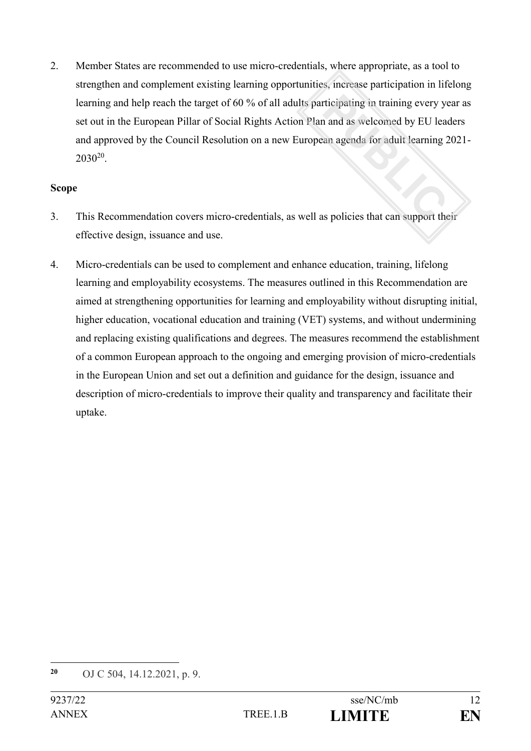2. Member States are recommended to use micro-credentials, where appropriate, as a tool to strengthen and complement existing learning opportunities, increase participation in lifelong learning and help reach the target of 60 % of all adults participating in training every year as set out in the European Pillar of Social Rights Action Plan and as welcomed by EU leaders and approved by the Council Resolution on a new European agenda for adult learning 2021-  $2030^{20}$ .

#### **Scope**

- 3. This Recommendation covers micro-credentials, as well as policies that can support their effective design, issuance and use.
- 4. Micro-credentials can be used to complement and enhance education, training, lifelong learning and employability ecosystems. The measures outlined in this Recommendation are aimed at strengthening opportunities for learning and employability without disrupting initial, higher education, vocational education and training (VET) systems, and without undermining and replacing existing qualifications and degrees. The measures recommend the establishment of a common European approach to the ongoing and emerging provision of micro-credentials in the European Union and set out a definition and guidance for the design, issuance and description of micro-credentials to improve their quality and transparency and facilitate their uptake.

**<sup>20</sup>** OJ C 504, 14.12.2021, p. 9.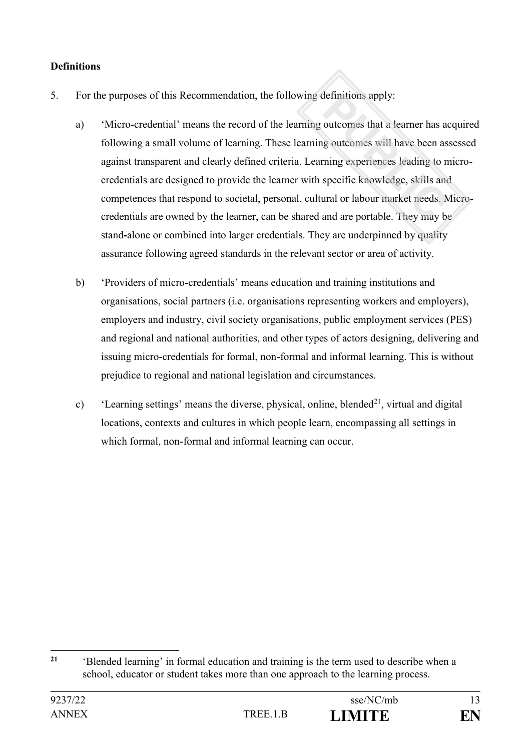# **Definitions**

- 5. For the purposes of this Recommendation, the following definitions apply:
	- a) 'Micro-credential' means the record of the learning outcomes that a learner has acquired following a small volume of learning. These learning outcomes will have been assessed against transparent and clearly defined criteria. Learning experiences leading to microcredentials are designed to provide the learner with specific knowledge, skills and competences that respond to societal, personal, cultural or labour market needs. Microcredentials are owned by the learner, can be shared and are portable. They may be stand**-**alone or combined into larger credentials. They are underpinned by quality assurance following agreed standards in the relevant sector or area of activity.
	- b) 'Providers of micro-credentials' means education and training institutions and organisations, social partners (i.e. organisations representing workers and employers), employers and industry, civil society organisations, public employment services (PES) and regional and national authorities, and other types of actors designing, delivering and issuing micro-credentials for formal, non-formal and informal learning. This is without prejudice to regional and national legislation and circumstances.
	- c) 'Learning settings' means the diverse, physical, online, blended<sup>21</sup>, virtual and digital locations, contexts and cultures in which people learn, encompassing all settings in which formal, non-formal and informal learning can occur.

 $21$ **<sup>21</sup>** 'Blended learning' in formal education and training is the term used to describe when a school, educator or student takes more than one approach to the learning process.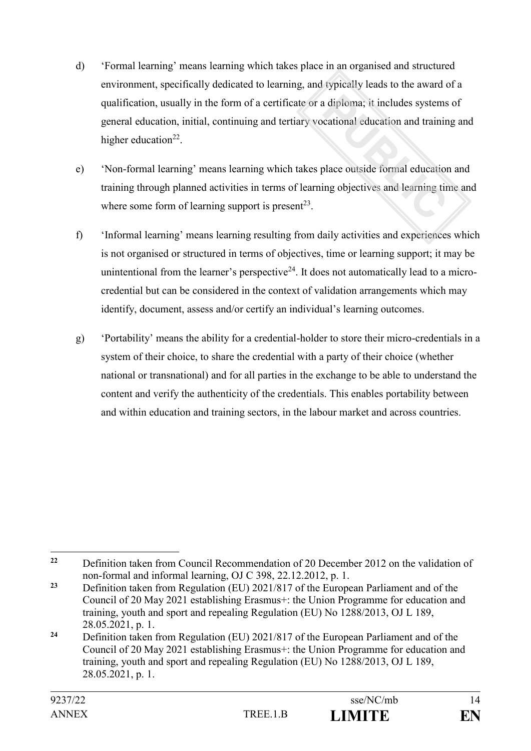- d) 'Formal learning' means learning which takes place in an organised and structured environment, specifically dedicated to learning, and typically leads to the award of a qualification, usually in the form of a certificate or a diploma; it includes systems of general education, initial, continuing and tertiary vocational education and training and higher education<sup>22</sup>.
- e) 'Non-formal learning' means learning which takes place outside formal education and training through planned activities in terms of learning objectives and learning time and where some form of learning support is present<sup>23</sup>.
- f) 'Informal learning' means learning resulting from daily activities and experiences which is not organised or structured in terms of objectives, time or learning support; it may be unintentional from the learner's perspective<sup>24</sup>. It does not automatically lead to a microcredential but can be considered in the context of validation arrangements which may identify, document, assess and/or certify an individual's learning outcomes.
- g) 'Portability' means the ability for a credential-holder to store their micro-credentials in a system of their choice, to share the credential with a party of their choice (whether national or transnational) and for all parties in the exchange to be able to understand the content and verify the authenticity of the credentials. This enables portability between and within education and training sectors, in the labour market and across countries.

<sup>1</sup> **<sup>22</sup>** Definition taken from Council Recommendation of 20 December 2012 on the validation of non-formal and informal learning, OJ C 398, 22.12.2012, p. 1.

**<sup>23</sup>** Definition taken from Regulation (EU) 2021/817 of the European Parliament and of the Council of 20 May 2021 establishing Erasmus+: the Union Programme for education and training, youth and sport and repealing Regulation (EU) No 1288/2013, OJ L 189, 28.05.2021, p. 1.

**<sup>24</sup>** Definition taken from Regulation (EU) 2021/817 of the European Parliament and of the Council of 20 May 2021 establishing Erasmus+: the Union Programme for education and training, youth and sport and repealing Regulation (EU) No 1288/2013, OJ L 189, 28.05.2021, p. 1.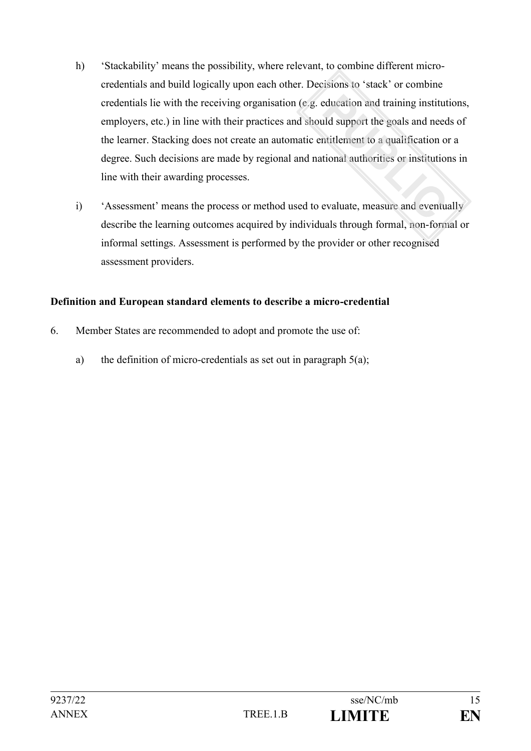- h) 'Stackability' means the possibility, where relevant, to combine different microcredentials and build logically upon each other. Decisions to 'stack' or combine credentials lie with the receiving organisation (e.g. education and training institutions, employers, etc.) in line with their practices and should support the goals and needs of the learner. Stacking does not create an automatic entitlement to a qualification or a degree. Such decisions are made by regional and national authorities or institutions in line with their awarding processes.
- i) 'Assessment' means the process or method used to evaluate, measure and eventually describe the learning outcomes acquired by individuals through formal, non-formal or informal settings. Assessment is performed by the provider or other recognised assessment providers.

# **Definition and European standard elements to describe a micro-credential**

- 6. Member States are recommended to adopt and promote the use of:
	- a) the definition of micro-credentials as set out in paragraph  $5(a)$ ;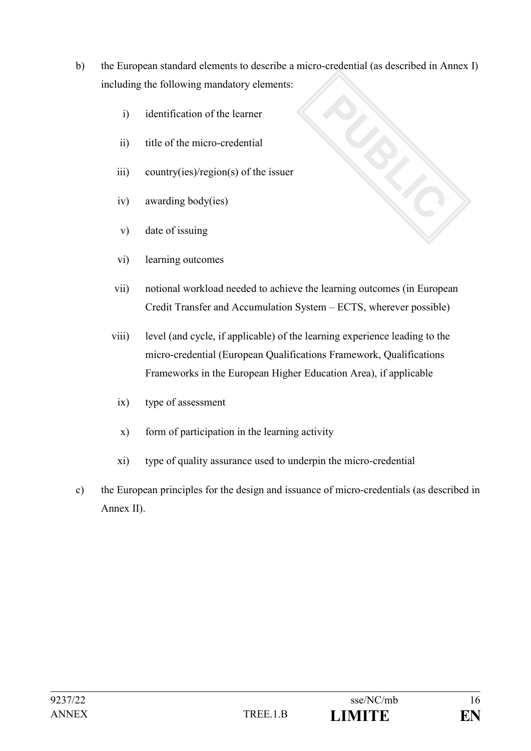b) the European standard elements to describe a micro-credential (as described in Annex I) including the following mandatory elements:

**CONSORTION** 

- i) identification of the learner
- ii) title of the micro-credential
- iii) country(ies)/region(s) of the issuer
- iv) awarding body(ies)
- v) date of issuing
- vi) learning outcomes
- vii) notional workload needed to achieve the learning outcomes (in European Credit Transfer and Accumulation System – ECTS, wherever possible)
- viii) level (and cycle, if applicable) of the learning experience leading to the micro-credential (European Qualifications Framework, Qualifications Frameworks in the European Higher Education Area), if applicable
	- ix) type of assessment
	- x) form of participation in the learning activity
	- xi) type of quality assurance used to underpin the micro-credential
- c) the European principles for the design and issuance of micro-credentials (as described in Annex II).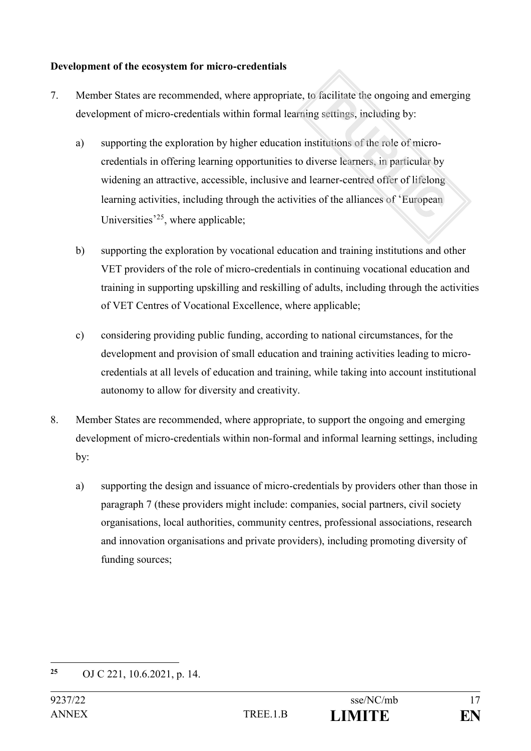# **Development of the ecosystem for micro-credentials**

- 7. Member States are recommended, where appropriate, to facilitate the ongoing and emerging development of micro-credentials within formal learning settings, including by:
	- a) supporting the exploration by higher education institutions of the role of microcredentials in offering learning opportunities to diverse learners, in particular by widening an attractive, accessible, inclusive and learner-centred offer of lifelong learning activities, including through the activities of the alliances of 'European Universities<sup>'25</sup>, where applicable;
	- b) supporting the exploration by vocational education and training institutions and other VET providers of the role of micro-credentials in continuing vocational education and training in supporting upskilling and reskilling of adults, including through the activities of VET Centres of Vocational Excellence, where applicable;
	- c) considering providing public funding, according to national circumstances, for the development and provision of small education and training activities leading to microcredentials at all levels of education and training, while taking into account institutional autonomy to allow for diversity and creativity.
- 8. Member States are recommended, where appropriate, to support the ongoing and emerging development of micro-credentials within non-formal and informal learning settings, including by:
	- a) supporting the design and issuance of micro-credentials by providers other than those in paragraph 7 (these providers might include: companies, social partners, civil society organisations, local authorities, community centres, professional associations, research and innovation organisations and private providers), including promoting diversity of funding sources;

<sup>1</sup> **<sup>25</sup>** OJ C 221, 10.6.2021, p. 14.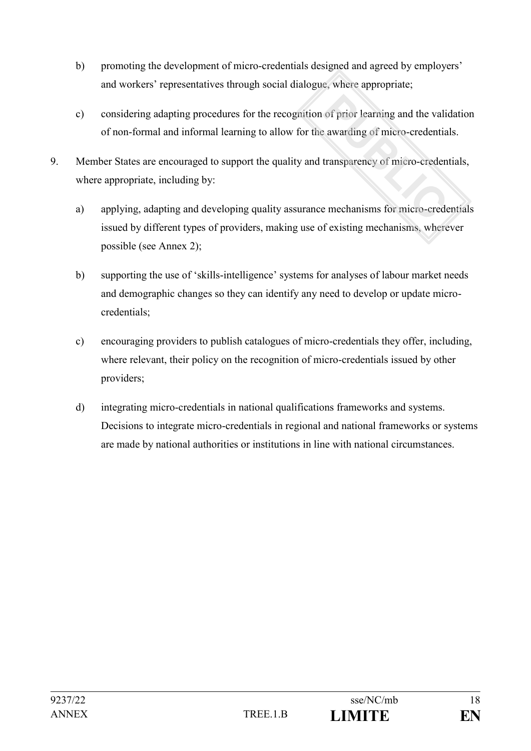- b) promoting the development of micro-credentials designed and agreed by employers' and workers' representatives through social dialogue, where appropriate;
- c) considering adapting procedures for the recognition of prior learning and the validation of non-formal and informal learning to allow for the awarding of micro-credentials.
- 9. Member States are encouraged to support the quality and transparency of micro-credentials, where appropriate, including by:
	- a) applying, adapting and developing quality assurance mechanisms for micro-credentials issued by different types of providers, making use of existing mechanisms, wherever possible (see Annex 2);
	- b) supporting the use of 'skills-intelligence' systems for analyses of labour market needs and demographic changes so they can identify any need to develop or update microcredentials;
	- c) encouraging providers to publish catalogues of micro-credentials they offer, including, where relevant, their policy on the recognition of micro-credentials issued by other providers;
	- d) integrating micro-credentials in national qualifications frameworks and systems. Decisions to integrate micro-credentials in regional and national frameworks or systems are made by national authorities or institutions in line with national circumstances.

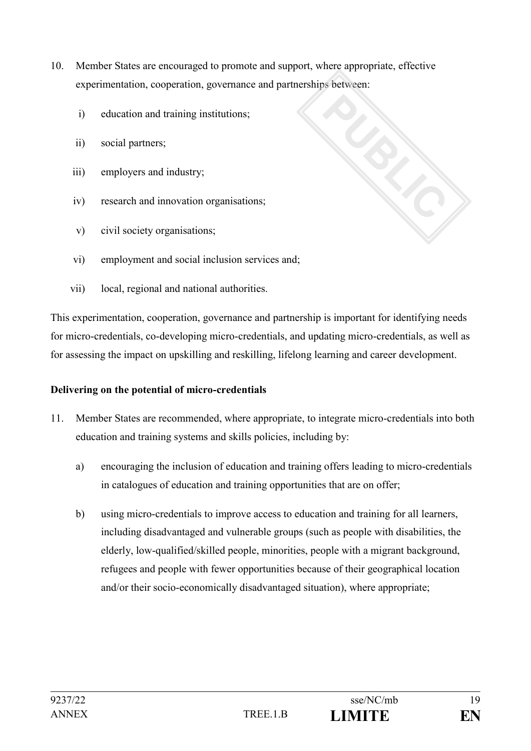- 10. Member States are encouraged to promote and support, where appropriate, effective experimentation, cooperation, governance and partnerships between:
	- i) education and training institutions;
	- ii) social partners;
	- iii) employers and industry;
	- iv) research and innovation organisations;
	- v) civil society organisations;
	- vi) employment and social inclusion services and;
	- vii) local, regional and national authorities.

This experimentation, cooperation, governance and partnership is important for identifying needs for micro-credentials, co-developing micro-credentials, and updating micro-credentials, as well as for assessing the impact on upskilling and reskilling, lifelong learning and career development.

#### **Delivering on the potential of micro-credentials**

- 11. Member States are recommended, where appropriate, to integrate micro-credentials into both education and training systems and skills policies, including by:
	- a) encouraging the inclusion of education and training offers leading to micro-credentials in catalogues of education and training opportunities that are on offer;
	- b) using micro-credentials to improve access to education and training for all learners, including disadvantaged and vulnerable groups (such as people with disabilities, the elderly, low-qualified/skilled people, minorities, people with a migrant background, refugees and people with fewer opportunities because of their geographical location and/or their socio-economically disadvantaged situation), where appropriate;

CONSORS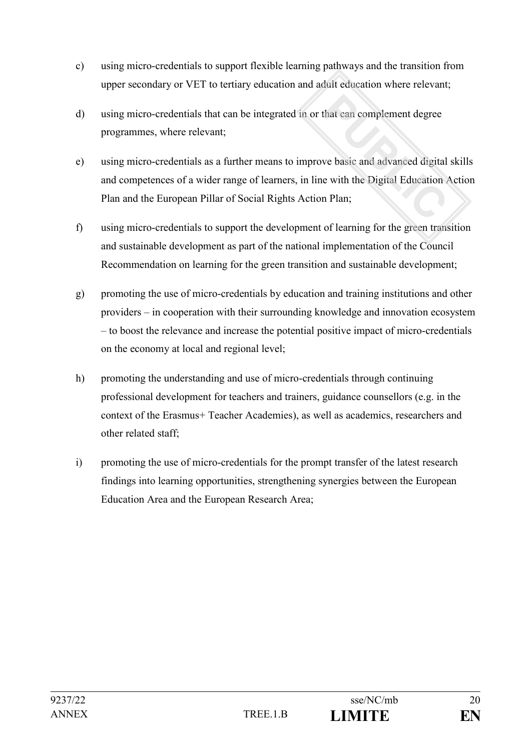- c) using micro-credentials to support flexible learning pathways and the transition from upper secondary or VET to tertiary education and adult education where relevant;
- d) using micro-credentials that can be integrated in or that can complement degree programmes, where relevant;
- e) using micro-credentials as a further means to improve basic and advanced digital skills and competences of a wider range of learners, in line with the Digital Education Action Plan and the European Pillar of Social Rights Action Plan;
- f) using micro-credentials to support the development of learning for the green transition and sustainable development as part of the national implementation of the Council Recommendation on learning for the green transition and sustainable development;
- g) promoting the use of micro-credentials by education and training institutions and other providers – in cooperation with their surrounding knowledge and innovation ecosystem – to boost the relevance and increase the potential positive impact of micro-credentials on the economy at local and regional level;
- h) promoting the understanding and use of micro-credentials through continuing professional development for teachers and trainers, guidance counsellors (e.g. in the context of the Erasmus+ Teacher Academies), as well as academics, researchers and other related staff;
- i) promoting the use of micro-credentials for the prompt transfer of the latest research findings into learning opportunities, strengthening synergies between the European Education Area and the European Research Area;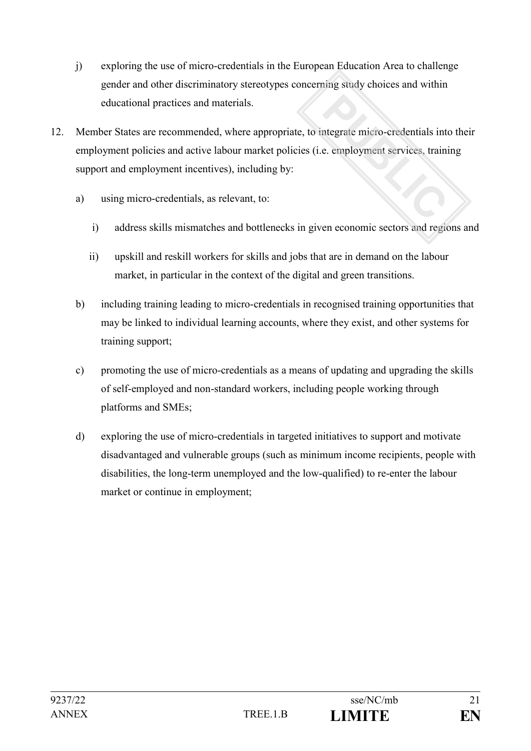- j) exploring the use of micro-credentials in the European Education Area to challenge gender and other discriminatory stereotypes concerning study choices and within educational practices and materials.
- 12. Member States are recommended, where appropriate, to integrate micro-credentials into their employment policies and active labour market policies (i.e. employment services, training support and employment incentives), including by:
	- a) using micro-credentials, as relevant, to:
		- i) address skills mismatches and bottlenecks in given economic sectors and regions and
		- ii) upskill and reskill workers for skills and jobs that are in demand on the labour market, in particular in the context of the digital and green transitions.
	- b) including training leading to micro-credentials in recognised training opportunities that may be linked to individual learning accounts, where they exist, and other systems for training support;
	- c) promoting the use of micro-credentials as a means of updating and upgrading the skills of self-employed and non-standard workers, including people working through platforms and SMEs;
	- d) exploring the use of micro-credentials in targeted initiatives to support and motivate disadvantaged and vulnerable groups (such as minimum income recipients, people with disabilities, the long-term unemployed and the low-qualified) to re-enter the labour market or continue in employment;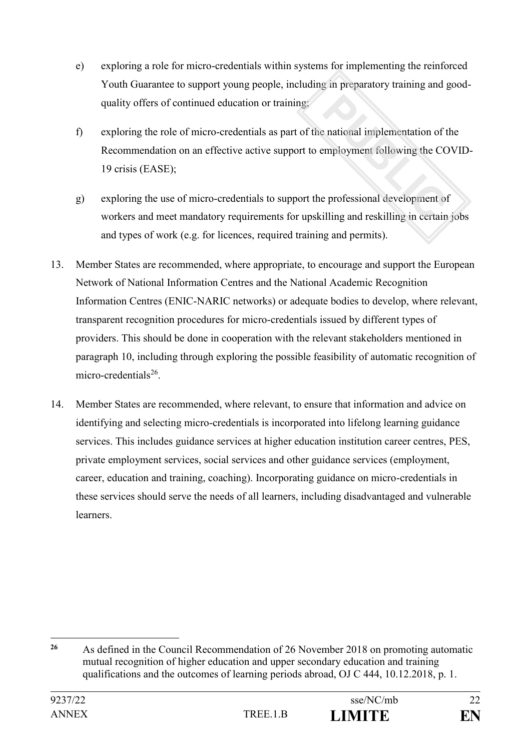- e) exploring a role for micro-credentials within systems for implementing the reinforced Youth Guarantee to support young people, including in preparatory training and goodquality offers of continued education or training;
- f) exploring the role of micro-credentials as part of the national implementation of the Recommendation on an effective active support to employment following the COVID-19 crisis (EASE);
- g) exploring the use of micro-credentials to support the professional development of workers and meet mandatory requirements for upskilling and reskilling in certain jobs and types of work (e.g. for licences, required training and permits).
- 13. Member States are recommended, where appropriate, to encourage and support the European Network of National Information Centres and the National Academic Recognition Information Centres (ENIC-NARIC networks) or adequate bodies to develop, where relevant, transparent recognition procedures for micro-credentials issued by different types of providers. This should be done in cooperation with the relevant stakeholders mentioned in paragraph 10, including through exploring the possible feasibility of automatic recognition of micro-credentials<sup>26</sup>.
- 14. Member States are recommended, where relevant, to ensure that information and advice on identifying and selecting micro-credentials is incorporated into lifelong learning guidance services. This includes guidance services at higher education institution career centres, PES, private employment services, social services and other guidance services (employment, career, education and training, coaching). Incorporating guidance on micro-credentials in these services should serve the needs of all learners, including disadvantaged and vulnerable learners.

<sup>&</sup>lt;u>.</u> **<sup>26</sup>** As defined in the Council Recommendation of 26 November 2018 on promoting automatic mutual recognition of higher education and upper secondary education and training qualifications and the outcomes of learning periods abroad, OJ C 444, 10.12.2018, p. 1.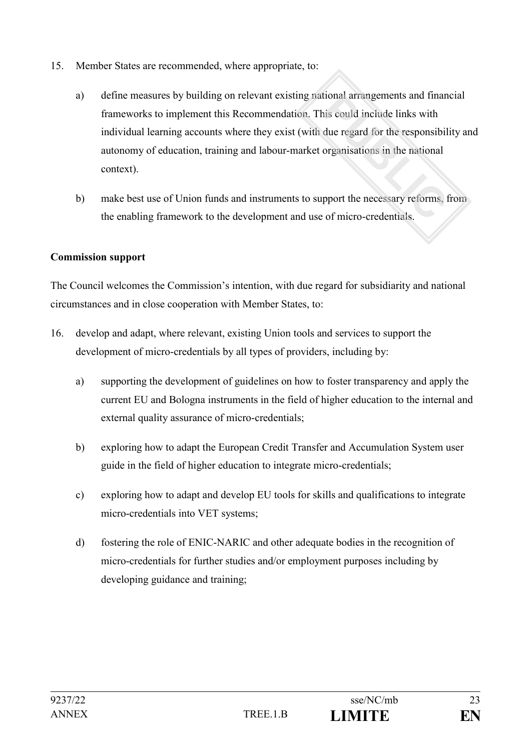- 15. Member States are recommended, where appropriate, to:
	- a) define measures by building on relevant existing national arrangements and financial frameworks to implement this Recommendation. This could include links with individual learning accounts where they exist (with due regard for the responsibility and autonomy of education, training and labour-market organisations in the national context).
	- b) make best use of Union funds and instruments to support the necessary reforms, from the enabling framework to the development and use of micro-credentials.

# **Commission support**

The Council welcomes the Commission's intention, with due regard for subsidiarity and national circumstances and in close cooperation with Member States, to:

- 16. develop and adapt, where relevant, existing Union tools and services to support the development of micro-credentials by all types of providers, including by:
	- a) supporting the development of guidelines on how to foster transparency and apply the current EU and Bologna instruments in the field of higher education to the internal and external quality assurance of micro-credentials;
	- b) exploring how to adapt the European Credit Transfer and Accumulation System user guide in the field of higher education to integrate micro-credentials;
	- c) exploring how to adapt and develop EU tools for skills and qualifications to integrate micro-credentials into VET systems;
	- d) fostering the role of ENIC-NARIC and other adequate bodies in the recognition of micro-credentials for further studies and/or employment purposes including by developing guidance and training;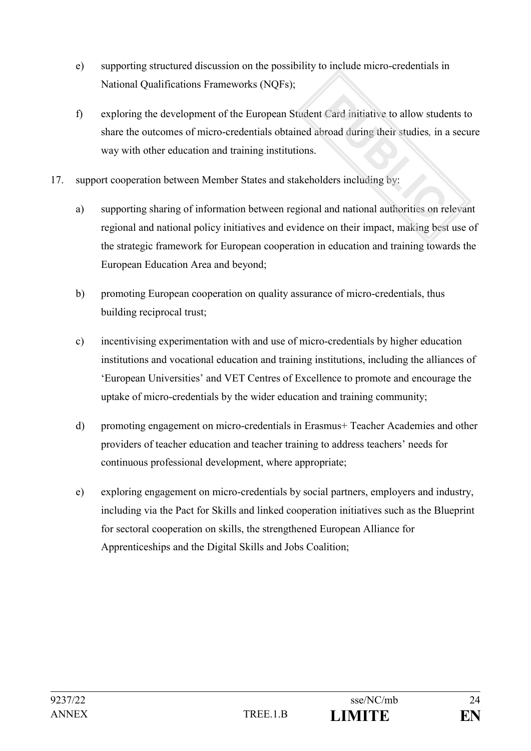- e) supporting structured discussion on the possibility to include micro-credentials in National Qualifications Frameworks (NQFs);
- f) exploring the development of the European Student Card initiative to allow students to share the outcomes of micro-credentials obtained abroad during their studies*,* in a secure way with other education and training institutions.
- 17. support cooperation between Member States and stakeholders including by:
	- a) supporting sharing of information between regional and national authorities on relevant regional and national policy initiatives and evidence on their impact, making best use of the strategic framework for European cooperation in education and training towards the European Education Area and beyond;
	- b) promoting European cooperation on quality assurance of micro-credentials, thus building reciprocal trust;
	- c) incentivising experimentation with and use of micro-credentials by higher education institutions and vocational education and training institutions, including the alliances of 'European Universities' and VET Centres of Excellence to promote and encourage the uptake of micro-credentials by the wider education and training community;
	- d) promoting engagement on micro-credentials in Erasmus+ Teacher Academies and other providers of teacher education and teacher training to address teachers' needs for continuous professional development, where appropriate;
	- e) exploring engagement on micro-credentials by social partners, employers and industry, including via the Pact for Skills and linked cooperation initiatives such as the Blueprint for sectoral cooperation on skills, the strengthened European Alliance for Apprenticeships and the Digital Skills and Jobs Coalition;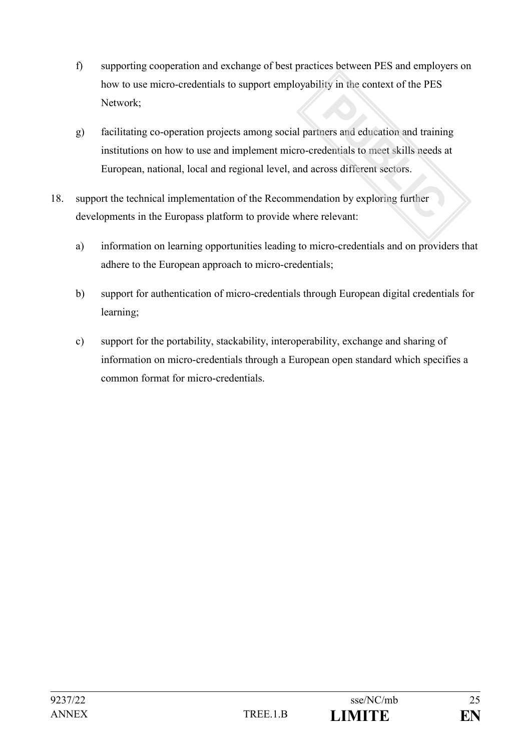- f) supporting cooperation and exchange of best practices between PES and employers on how to use micro-credentials to support employability in the context of the PES Network;
- g) facilitating co-operation projects among social partners and education and training institutions on how to use and implement micro-credentials to meet skills needs at European, national, local and regional level, and across different sectors.
- 18. support the technical implementation of the Recommendation by exploring further developments in the Europass platform to provide where relevant:
	- a) information on learning opportunities leading to micro-credentials and on providers that adhere to the European approach to micro-credentials;
	- b) support for authentication of micro-credentials through European digital credentials for learning;
	- c) support for the portability, stackability, interoperability, exchange and sharing of information on micro-credentials through a European open standard which specifies a common format for micro-credentials.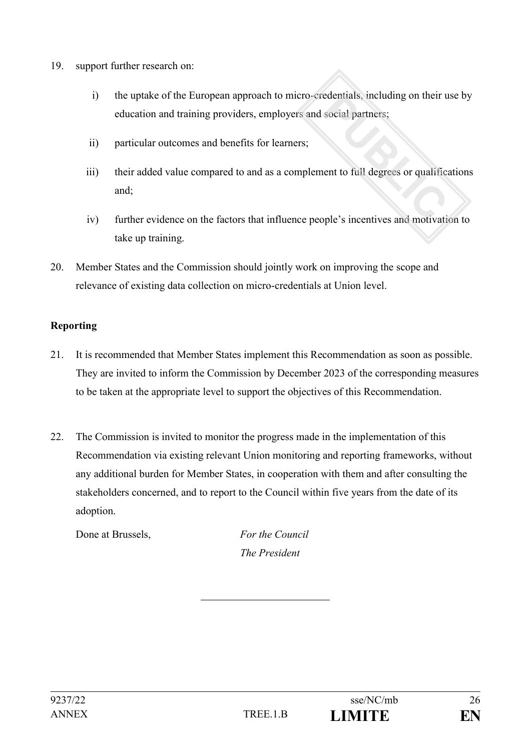- 19. support further research on:
	- i) the uptake of the European approach to micro-credentials, including on their use by education and training providers, employers and social partners;
	- ii) particular outcomes and benefits for learners;
	- iii) their added value compared to and as a complement to full degrees or qualifications and;
	- iv) further evidence on the factors that influence people's incentives and motivation to take up training.
- 20. Member States and the Commission should jointly work on improving the scope and relevance of existing data collection on micro-credentials at Union level.

# **Reporting**

- 21. It is recommended that Member States implement this Recommendation as soon as possible. They are invited to inform the Commission by December 2023 of the corresponding measures to be taken at the appropriate level to support the objectives of this Recommendation.
- 22. The Commission is invited to monitor the progress made in the implementation of this Recommendation via existing relevant Union monitoring and reporting frameworks, without any additional burden for Member States, in cooperation with them and after consulting the stakeholders concerned, and to report to the Council within five years from the date of its adoption.

Done at Brussels, *For the Council*

*The President*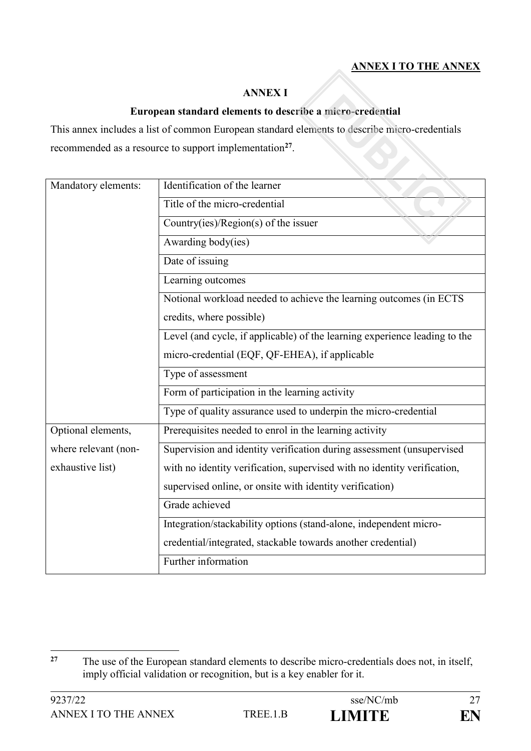# **ANNEX I TO THE ANNEX**

#### **ANNEX I**

#### **European standard elements to describe a micro-credential**

This annex includes a list of common European standard elements to describe micro-credentials recommended as a resource to support implementation<sup>27</sup>.

| Mandatory elements:  | Identification of the learner                                              |
|----------------------|----------------------------------------------------------------------------|
|                      | Title of the micro-credential                                              |
|                      | Country(ies)/Region(s) of the issuer                                       |
|                      | Awarding body(ies)                                                         |
|                      | Date of issuing                                                            |
|                      | Learning outcomes                                                          |
|                      | Notional workload needed to achieve the learning outcomes (in ECTS         |
|                      | credits, where possible)                                                   |
|                      | Level (and cycle, if applicable) of the learning experience leading to the |
|                      | micro-credential (EQF, QF-EHEA), if applicable                             |
|                      | Type of assessment                                                         |
|                      | Form of participation in the learning activity                             |
|                      | Type of quality assurance used to underpin the micro-credential            |
| Optional elements,   | Prerequisites needed to enrol in the learning activity                     |
| where relevant (non- | Supervision and identity verification during assessment (unsupervised      |
| exhaustive list)     | with no identity verification, supervised with no identity verification,   |
|                      | supervised online, or onsite with identity verification)                   |
|                      | Grade achieved                                                             |
|                      | Integration/stackability options (stand-alone, independent micro-          |
|                      | credential/integrated, stackable towards another credential)               |
|                      | Further information                                                        |

 $27$ **<sup>27</sup>** The use of the European standard elements to describe micro-credentials does not, in itself, imply official validation or recognition, but is a key enabler for it.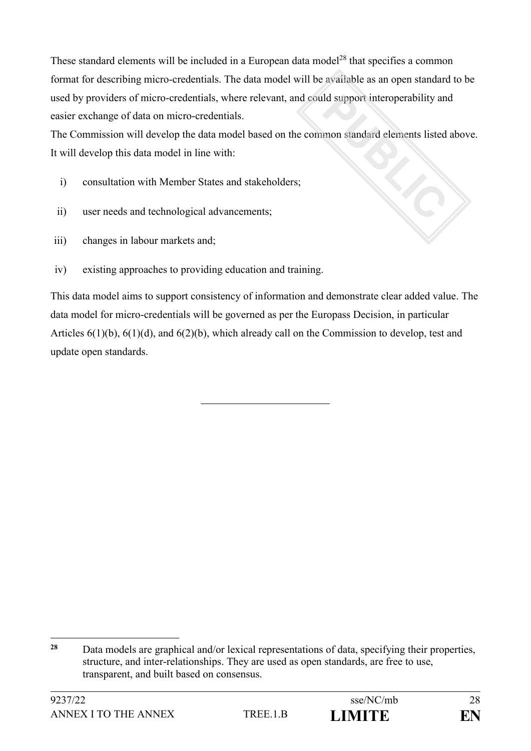These standard elements will be included in a European data model<sup>28</sup> that specifies a common format for describing micro-credentials. The data model will be available as an open standard to be used by providers of micro-credentials, where relevant, and could support interoperability and easier exchange of data on micro-credentials.

The Commission will develop the data model based on the common standard elements listed above. It will develop this data model in line with:

- i) consultation with Member States and stakeholders;
- ii) user needs and technological advancements;
- iii) changes in labour markets and;
- iv) existing approaches to providing education and training.

This data model aims to support consistency of information and demonstrate clear added value. The data model for micro-credentials will be governed as per the Europass Decision, in particular Articles 6(1)(b), 6(1)(d), and 6(2)(b), which already call on the Commission to develop, test and update open standards.

<sup>&</sup>lt;u>.</u> **<sup>28</sup>** Data models are graphical and/or lexical representations of data, specifying their properties, structure, and inter-relationships. They are used as open standards, are free to use, transparent, and built based on consensus.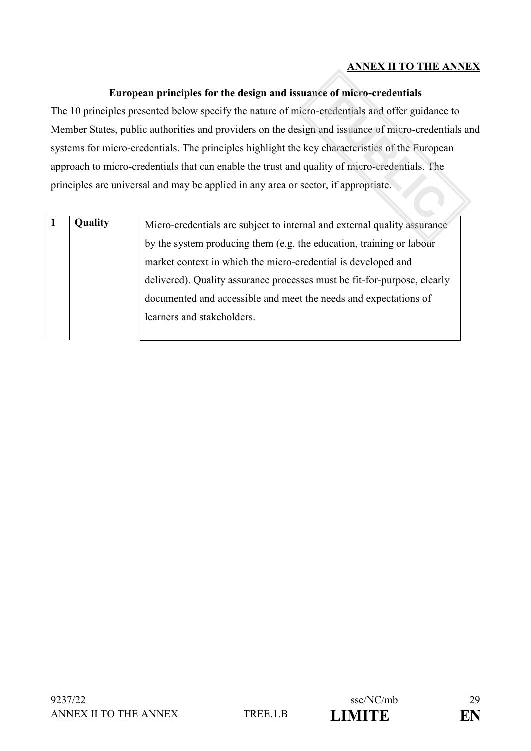# **ANNEX II TO THE ANNEX**

### **European principles for the design and issuance of micro-credentials**

The 10 principles presented below specify the nature of micro-credentials and offer guidance to Member States, public authorities and providers on the design and issuance of micro-credentials and systems for micro-credentials. The principles highlight the key characteristics of the European approach to micro-credentials that can enable the trust and quality of micro-credentials. The principles are universal and may be applied in any area or sector, if appropriate.

| <b>Quality</b> | Micro-credentials are subject to internal and external quality assurance |
|----------------|--------------------------------------------------------------------------|
|                | by the system producing them (e.g. the education, training or labour     |
|                | market context in which the micro-credential is developed and            |
|                | delivered). Quality assurance processes must be fit-for-purpose, clearly |
|                | documented and accessible and meet the needs and expectations of         |
|                | learners and stakeholders.                                               |
|                |                                                                          |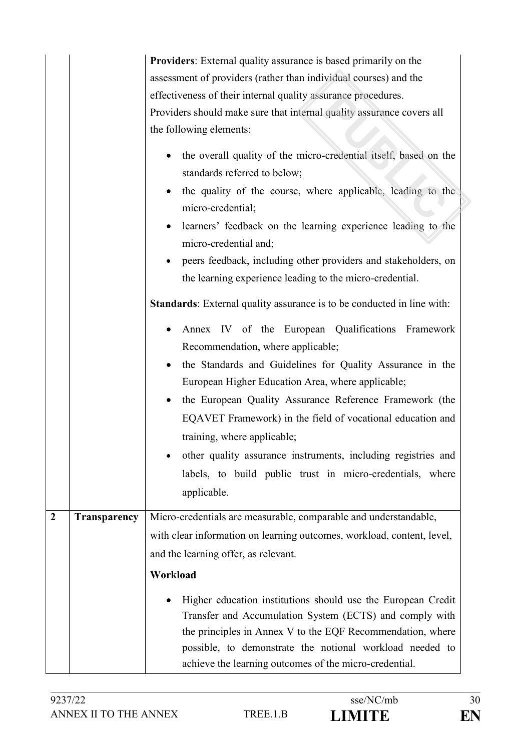| $\overline{2}$ | Transparency | <b>Providers:</b> External quality assurance is based primarily on the<br>assessment of providers (rather than individual courses) and the<br>effectiveness of their internal quality assurance procedures.<br>Providers should make sure that internal quality assurance covers all<br>the following elements:<br>the overall quality of the micro-credential itself, based on the<br>standards referred to below;<br>the quality of the course, where applicable, leading to the<br>micro-credential;<br>learners' feedback on the learning experience leading to the<br>micro-credential and;<br>peers feedback, including other providers and stakeholders, on<br>the learning experience leading to the micro-credential.<br><b>Standards:</b> External quality assurance is to be conducted in line with:<br>Annex IV of the European Qualifications Framework<br>Recommendation, where applicable;<br>the Standards and Guidelines for Quality Assurance in the<br>$\bullet$<br>European Higher Education Area, where applicable;<br>the European Quality Assurance Reference Framework (the<br>EQAVET Framework) in the field of vocational education and<br>training, where applicable;<br>other quality assurance instruments, including registries and<br>labels, to build public trust in micro-credentials, where<br>applicable.<br>Micro-credentials are measurable, comparable and understandable,<br>with clear information on learning outcomes, workload, content, level, |
|----------------|--------------|---------------------------------------------------------------------------------------------------------------------------------------------------------------------------------------------------------------------------------------------------------------------------------------------------------------------------------------------------------------------------------------------------------------------------------------------------------------------------------------------------------------------------------------------------------------------------------------------------------------------------------------------------------------------------------------------------------------------------------------------------------------------------------------------------------------------------------------------------------------------------------------------------------------------------------------------------------------------------------------------------------------------------------------------------------------------------------------------------------------------------------------------------------------------------------------------------------------------------------------------------------------------------------------------------------------------------------------------------------------------------------------------------------------------------------------------------------------------------------------------|
|                |              | and the learning offer, as relevant.                                                                                                                                                                                                                                                                                                                                                                                                                                                                                                                                                                                                                                                                                                                                                                                                                                                                                                                                                                                                                                                                                                                                                                                                                                                                                                                                                                                                                                                        |
|                |              | Workload                                                                                                                                                                                                                                                                                                                                                                                                                                                                                                                                                                                                                                                                                                                                                                                                                                                                                                                                                                                                                                                                                                                                                                                                                                                                                                                                                                                                                                                                                    |
|                |              | Higher education institutions should use the European Credit<br>Transfer and Accumulation System (ECTS) and comply with<br>the principles in Annex V to the EQF Recommendation, where<br>possible, to demonstrate the notional workload needed to<br>achieve the learning outcomes of the micro-credential.                                                                                                                                                                                                                                                                                                                                                                                                                                                                                                                                                                                                                                                                                                                                                                                                                                                                                                                                                                                                                                                                                                                                                                                 |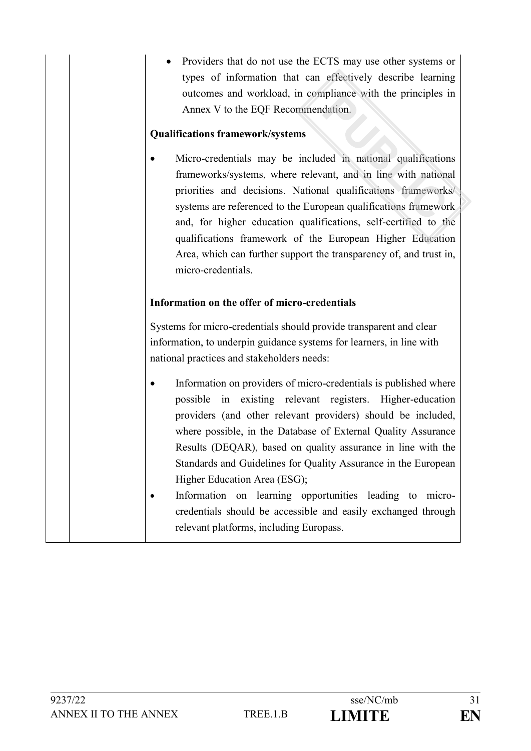Providers that do not use the ECTS may use other systems or types of information that can effectively describe learning outcomes and workload, in compliance with the principles in Annex V to the EQF Recommendation.

### **Qualifications framework/systems**

 Micro-credentials may be included in national qualifications frameworks/systems, where relevant, and in line with national priorities and decisions. National qualifications frameworks/ systems are referenced to the European qualifications framework and, for higher education qualifications, self-certified to the qualifications framework of the European Higher Education Area, which can further support the transparency of, and trust in, micro-credentials.

#### **Information on the offer of micro-credentials**

Systems for micro-credentials should provide transparent and clear information, to underpin guidance systems for learners, in line with national practices and stakeholders needs:

- Information on providers of micro-credentials is published where possible in existing relevant registers. Higher-education providers (and other relevant providers) should be included, where possible, in the Database of External Quality Assurance Results (DEQAR), based on quality assurance in line with the Standards and Guidelines for Quality Assurance in the European Higher Education Area (ESG);
- Information on learning opportunities leading to microcredentials should be accessible and easily exchanged through relevant platforms, including Europass.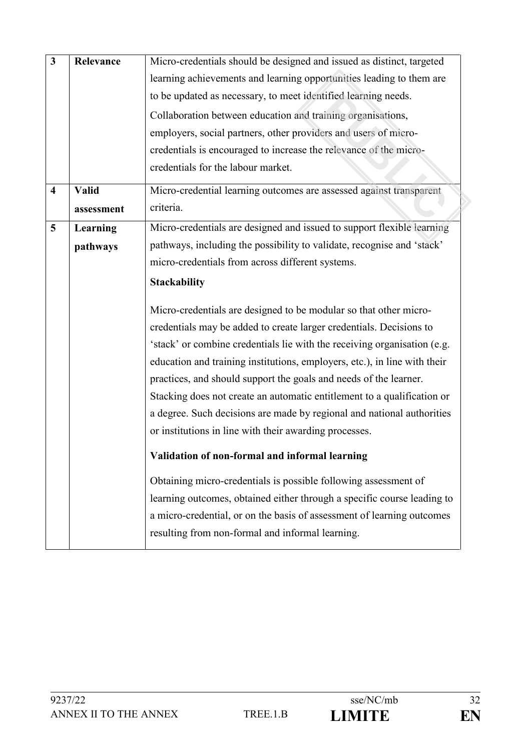| $\mathbf{3}$            | Relevance    | Micro-credentials should be designed and issued as distinct, targeted<br>learning achievements and learning opportunities leading to them are<br>to be updated as necessary, to meet identified learning needs.<br>Collaboration between education and training organisations,<br>employers, social partners, other providers and users of micro-<br>credentials is encouraged to increase the relevance of the micro-<br>credentials for the labour market.                                                                                                                                                                                                                                               |
|-------------------------|--------------|------------------------------------------------------------------------------------------------------------------------------------------------------------------------------------------------------------------------------------------------------------------------------------------------------------------------------------------------------------------------------------------------------------------------------------------------------------------------------------------------------------------------------------------------------------------------------------------------------------------------------------------------------------------------------------------------------------|
| $\overline{\mathbf{4}}$ | <b>Valid</b> | Micro-credential learning outcomes are assessed against transparent                                                                                                                                                                                                                                                                                                                                                                                                                                                                                                                                                                                                                                        |
|                         | assessment   | criteria.                                                                                                                                                                                                                                                                                                                                                                                                                                                                                                                                                                                                                                                                                                  |
| 5                       | Learning     | Micro-credentials are designed and issued to support flexible learning                                                                                                                                                                                                                                                                                                                                                                                                                                                                                                                                                                                                                                     |
|                         | pathways     | pathways, including the possibility to validate, recognise and 'stack'                                                                                                                                                                                                                                                                                                                                                                                                                                                                                                                                                                                                                                     |
|                         |              | micro-credentials from across different systems.                                                                                                                                                                                                                                                                                                                                                                                                                                                                                                                                                                                                                                                           |
|                         |              | <b>Stackability</b>                                                                                                                                                                                                                                                                                                                                                                                                                                                                                                                                                                                                                                                                                        |
|                         |              | Micro-credentials are designed to be modular so that other micro-<br>credentials may be added to create larger credentials. Decisions to<br>'stack' or combine credentials lie with the receiving organisation (e.g.<br>education and training institutions, employers, etc.), in line with their<br>practices, and should support the goals and needs of the learner.<br>Stacking does not create an automatic entitlement to a qualification or<br>a degree. Such decisions are made by regional and national authorities<br>or institutions in line with their awarding processes.<br>Validation of non-formal and informal learning<br>Obtaining micro-credentials is possible following assessment of |
|                         |              | learning outcomes, obtained either through a specific course leading to<br>a micro-credential, or on the basis of assessment of learning outcomes<br>resulting from non-formal and informal learning.                                                                                                                                                                                                                                                                                                                                                                                                                                                                                                      |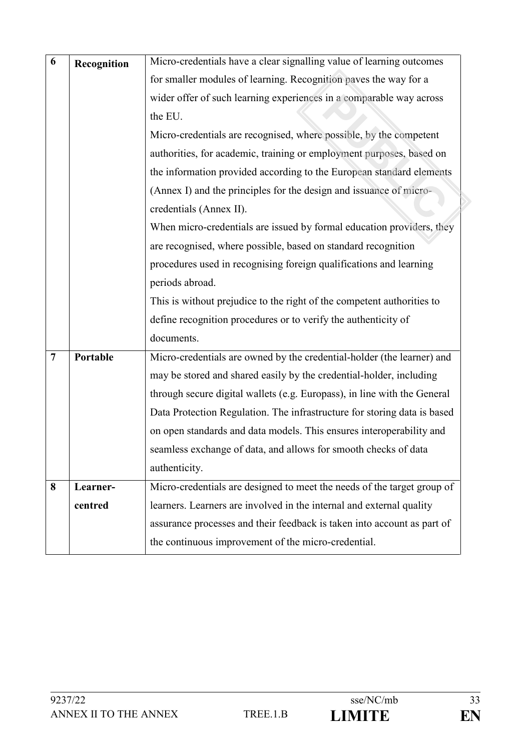| 6              | Recognition | Micro-credentials have a clear signalling value of learning outcomes     |
|----------------|-------------|--------------------------------------------------------------------------|
|                |             | for smaller modules of learning. Recognition paves the way for a         |
|                |             | wider offer of such learning experiences in a comparable way across      |
|                |             | the EU.                                                                  |
|                |             | Micro-credentials are recognised, where possible, by the competent       |
|                |             | authorities, for academic, training or employment purposes, based on     |
|                |             | the information provided according to the European standard elements     |
|                |             | (Annex I) and the principles for the design and issuance of micro-       |
|                |             | credentials (Annex II).                                                  |
|                |             | When micro-credentials are issued by formal education providers, they    |
|                |             | are recognised, where possible, based on standard recognition            |
|                |             | procedures used in recognising foreign qualifications and learning       |
|                |             | periods abroad.                                                          |
|                |             | This is without prejudice to the right of the competent authorities to   |
|                |             | define recognition procedures or to verify the authenticity of           |
|                |             | documents.                                                               |
| $\overline{7}$ | Portable    | Micro-credentials are owned by the credential-holder (the learner) and   |
|                |             | may be stored and shared easily by the credential-holder, including      |
|                |             | through secure digital wallets (e.g. Europass), in line with the General |
|                |             | Data Protection Regulation. The infrastructure for storing data is based |
|                |             | on open standards and data models. This ensures interoperability and     |
|                |             | seamless exchange of data, and allows for smooth checks of data          |
|                |             | authenticity.                                                            |
| 8              | Learner-    | Micro-credentials are designed to meet the needs of the target group of  |
|                | centred     | learners. Learners are involved in the internal and external quality     |
|                |             | assurance processes and their feedback is taken into account as part of  |
|                |             | the continuous improvement of the micro-credential.                      |
|                |             |                                                                          |